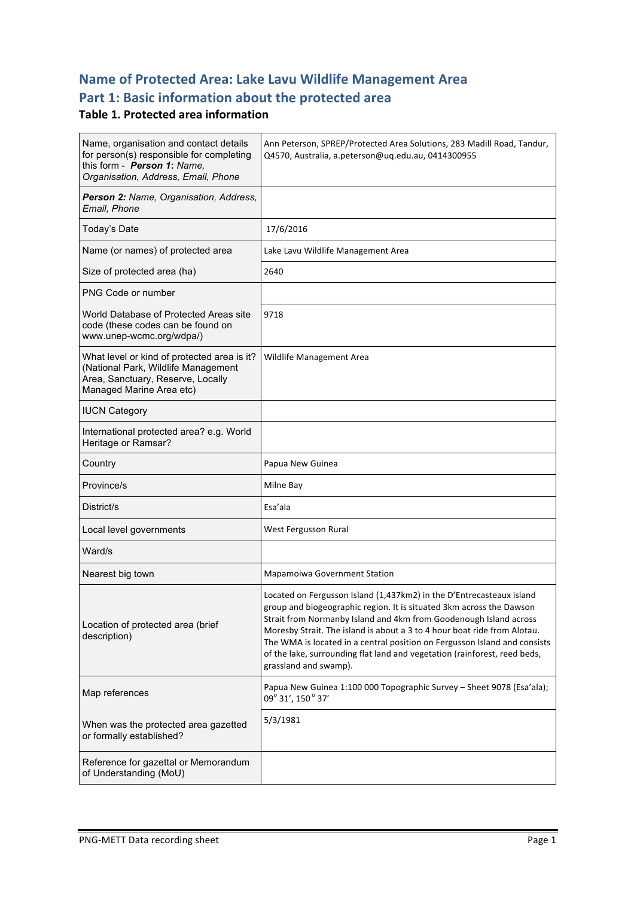### **Name of Protected Area: Lake Lavu Wildlife Management Area** Part 1: Basic information about the protected area

#### **Table 1. Protected area information**

| Name, organisation and contact details<br>for person(s) responsible for completing<br>this form - Person 1: Name,<br>Organisation, Address, Email, Phone | Ann Peterson, SPREP/Protected Area Solutions, 283 Madill Road, Tandur,<br>Q4570, Australia, a.peterson@uq.edu.au, 0414300955                                                                                                                                                                                                                                                                                                                                                     |
|----------------------------------------------------------------------------------------------------------------------------------------------------------|----------------------------------------------------------------------------------------------------------------------------------------------------------------------------------------------------------------------------------------------------------------------------------------------------------------------------------------------------------------------------------------------------------------------------------------------------------------------------------|
| Person 2: Name, Organisation, Address,<br>Email, Phone                                                                                                   |                                                                                                                                                                                                                                                                                                                                                                                                                                                                                  |
| Today's Date                                                                                                                                             | 17/6/2016                                                                                                                                                                                                                                                                                                                                                                                                                                                                        |
| Name (or names) of protected area                                                                                                                        | Lake Lavu Wildlife Management Area                                                                                                                                                                                                                                                                                                                                                                                                                                               |
| Size of protected area (ha)                                                                                                                              | 2640                                                                                                                                                                                                                                                                                                                                                                                                                                                                             |
| <b>PNG Code or number</b>                                                                                                                                |                                                                                                                                                                                                                                                                                                                                                                                                                                                                                  |
| World Database of Protected Areas site<br>code (these codes can be found on<br>www.unep-wcmc.org/wdpa/)                                                  | 9718                                                                                                                                                                                                                                                                                                                                                                                                                                                                             |
| What level or kind of protected area is it?<br>(National Park, Wildlife Management<br>Area, Sanctuary, Reserve, Locally<br>Managed Marine Area etc)      | Wildlife Management Area                                                                                                                                                                                                                                                                                                                                                                                                                                                         |
| <b>IUCN Category</b>                                                                                                                                     |                                                                                                                                                                                                                                                                                                                                                                                                                                                                                  |
| International protected area? e.g. World<br>Heritage or Ramsar?                                                                                          |                                                                                                                                                                                                                                                                                                                                                                                                                                                                                  |
| Country                                                                                                                                                  | Papua New Guinea                                                                                                                                                                                                                                                                                                                                                                                                                                                                 |
| Province/s                                                                                                                                               | Milne Bay                                                                                                                                                                                                                                                                                                                                                                                                                                                                        |
| District/s                                                                                                                                               | Esa'ala                                                                                                                                                                                                                                                                                                                                                                                                                                                                          |
| Local level governments                                                                                                                                  | West Fergusson Rural                                                                                                                                                                                                                                                                                                                                                                                                                                                             |
| Ward/s                                                                                                                                                   |                                                                                                                                                                                                                                                                                                                                                                                                                                                                                  |
| Nearest big town                                                                                                                                         | <b>Mapamoiwa Government Station</b>                                                                                                                                                                                                                                                                                                                                                                                                                                              |
| Location of protected area (brief<br>description)                                                                                                        | Located on Fergusson Island (1,437km2) in the D'Entrecasteaux island<br>group and biogeographic region. It is situated 3km across the Dawson<br>Strait from Normanby Island and 4km from Goodenough Island across<br>Moresby Strait. The island is about a 3 to 4 hour boat ride from Alotau.<br>The WMA is located in a central position on Fergusson Island and consists<br>of the lake, surrounding flat land and vegetation (rainforest, reed beds,<br>grassland and swamp). |
| Map references                                                                                                                                           | Papua New Guinea 1:100 000 Topographic Survey - Sheet 9078 (Esa'ala);<br>09° 31', 150° 37'                                                                                                                                                                                                                                                                                                                                                                                       |
| When was the protected area gazetted<br>or formally established?                                                                                         | 5/3/1981                                                                                                                                                                                                                                                                                                                                                                                                                                                                         |
| Reference for gazettal or Memorandum<br>of Understanding (MoU)                                                                                           |                                                                                                                                                                                                                                                                                                                                                                                                                                                                                  |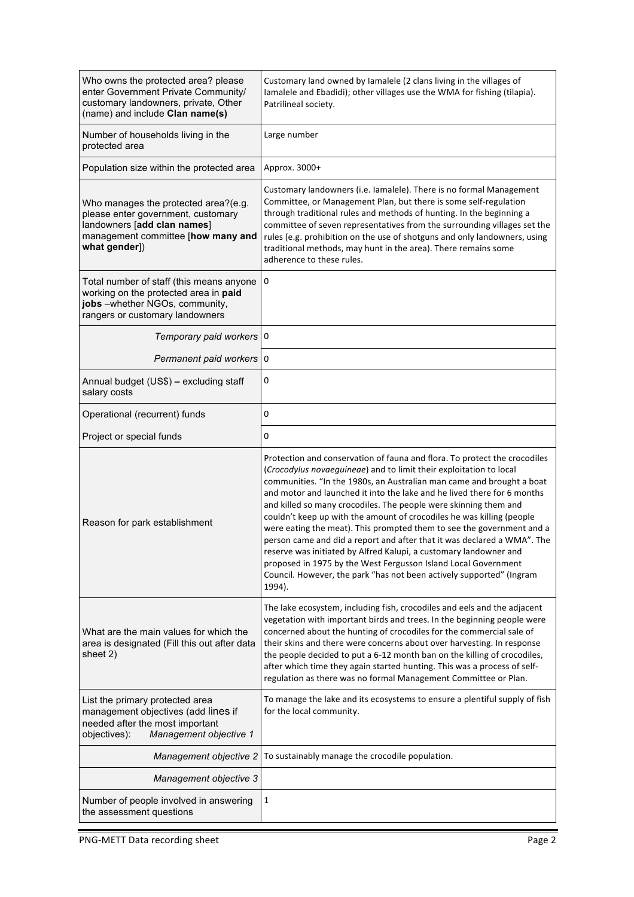| Who owns the protected area? please<br>enter Government Private Community/<br>customary landowners, private, Other<br>(name) and include Clan name(s)            | Customary land owned by lamalele (2 clans living in the villages of<br>lamalele and Ebadidi); other villages use the WMA for fishing (tilapia).<br>Patrilineal society.                                                                                                                                                                                                                                                                                                                                                                                                                                                                                                                                                                                                                                                       |  |
|------------------------------------------------------------------------------------------------------------------------------------------------------------------|-------------------------------------------------------------------------------------------------------------------------------------------------------------------------------------------------------------------------------------------------------------------------------------------------------------------------------------------------------------------------------------------------------------------------------------------------------------------------------------------------------------------------------------------------------------------------------------------------------------------------------------------------------------------------------------------------------------------------------------------------------------------------------------------------------------------------------|--|
| Number of households living in the<br>protected area                                                                                                             | Large number                                                                                                                                                                                                                                                                                                                                                                                                                                                                                                                                                                                                                                                                                                                                                                                                                  |  |
| Population size within the protected area                                                                                                                        | Approx. 3000+                                                                                                                                                                                                                                                                                                                                                                                                                                                                                                                                                                                                                                                                                                                                                                                                                 |  |
| Who manages the protected area?(e.g.<br>please enter government, customary<br>landowners [add clan names]<br>management committee [how many and<br>what gender]) | Customary landowners (i.e. lamalele). There is no formal Management<br>Committee, or Management Plan, but there is some self-regulation<br>through traditional rules and methods of hunting. In the beginning a<br>committee of seven representatives from the surrounding villages set the<br>rules (e.g. prohibition on the use of shotguns and only landowners, using<br>traditional methods, may hunt in the area). There remains some<br>adherence to these rules.                                                                                                                                                                                                                                                                                                                                                       |  |
| Total number of staff (this means anyone<br>working on the protected area in paid<br>jobs -whether NGOs, community,<br>rangers or customary landowners           | 0                                                                                                                                                                                                                                                                                                                                                                                                                                                                                                                                                                                                                                                                                                                                                                                                                             |  |
| Temporary paid workers                                                                                                                                           | 0                                                                                                                                                                                                                                                                                                                                                                                                                                                                                                                                                                                                                                                                                                                                                                                                                             |  |
| Permanent paid workers 0                                                                                                                                         |                                                                                                                                                                                                                                                                                                                                                                                                                                                                                                                                                                                                                                                                                                                                                                                                                               |  |
| Annual budget (US\$) - excluding staff<br>salary costs                                                                                                           | 0                                                                                                                                                                                                                                                                                                                                                                                                                                                                                                                                                                                                                                                                                                                                                                                                                             |  |
| Operational (recurrent) funds                                                                                                                                    | 0                                                                                                                                                                                                                                                                                                                                                                                                                                                                                                                                                                                                                                                                                                                                                                                                                             |  |
| Project or special funds                                                                                                                                         | 0                                                                                                                                                                                                                                                                                                                                                                                                                                                                                                                                                                                                                                                                                                                                                                                                                             |  |
| Reason for park establishment                                                                                                                                    | Protection and conservation of fauna and flora. To protect the crocodiles<br>(Crocodylus novaeguineae) and to limit their exploitation to local<br>communities. "In the 1980s, an Australian man came and brought a boat<br>and motor and launched it into the lake and he lived there for 6 months<br>and killed so many crocodiles. The people were skinning them and<br>couldn't keep up with the amount of crocodiles he was killing (people<br>were eating the meat). This prompted them to see the government and a<br>person came and did a report and after that it was declared a WMA". The<br>reserve was initiated by Alfred Kalupi, a customary landowner and<br>proposed in 1975 by the West Fergusson Island Local Government<br>Council. However, the park "has not been actively supported" (Ingram<br>1994). |  |
| What are the main values for which the<br>area is designated (Fill this out after data<br>sheet 2)                                                               | The lake ecosystem, including fish, crocodiles and eels and the adjacent<br>vegetation with important birds and trees. In the beginning people were<br>concerned about the hunting of crocodiles for the commercial sale of<br>their skins and there were concerns about over harvesting. In response<br>the people decided to put a 6-12 month ban on the killing of crocodiles,<br>after which time they again started hunting. This was a process of self-<br>regulation as there was no formal Management Committee or Plan.                                                                                                                                                                                                                                                                                              |  |
| List the primary protected area<br>management objectives (add lines if<br>needed after the most important<br>objectives):<br>Management objective 1              | To manage the lake and its ecosystems to ensure a plentiful supply of fish<br>for the local community.                                                                                                                                                                                                                                                                                                                                                                                                                                                                                                                                                                                                                                                                                                                        |  |
| Management objective 2                                                                                                                                           | To sustainably manage the crocodile population.                                                                                                                                                                                                                                                                                                                                                                                                                                                                                                                                                                                                                                                                                                                                                                               |  |
| Management objective 3                                                                                                                                           |                                                                                                                                                                                                                                                                                                                                                                                                                                                                                                                                                                                                                                                                                                                                                                                                                               |  |
| Number of people involved in answering<br>the assessment questions                                                                                               | 1                                                                                                                                                                                                                                                                                                                                                                                                                                                                                                                                                                                                                                                                                                                                                                                                                             |  |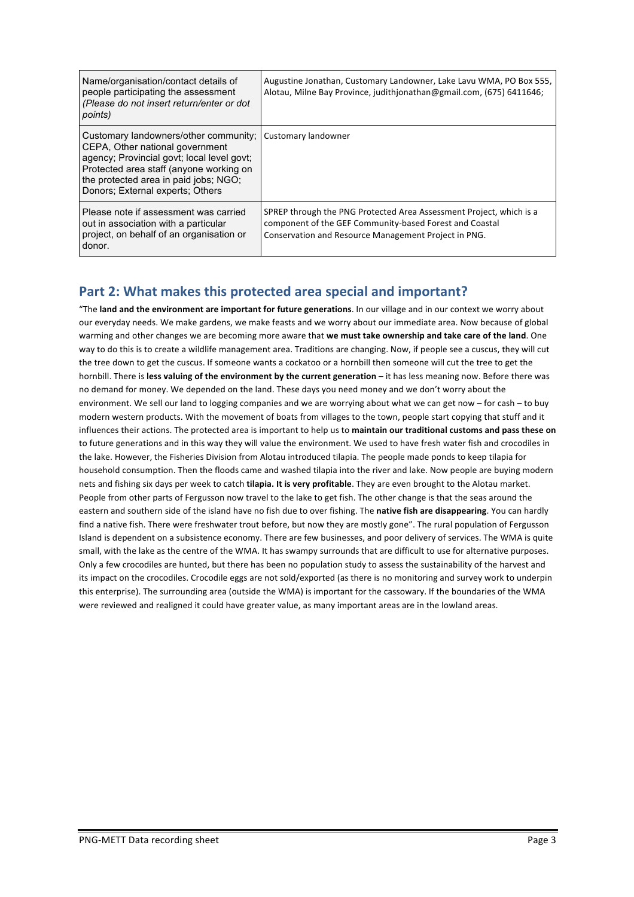| Name/organisation/contact details of<br>people participating the assessment<br>(Please do not insert return/enter or dot<br>points)                                                                                                            | Augustine Jonathan, Customary Landowner, Lake Lavu WMA, PO Box 555,<br>Alotau, Milne Bay Province, judithjonathan@gmail.com, (675) 6411646;                                            |
|------------------------------------------------------------------------------------------------------------------------------------------------------------------------------------------------------------------------------------------------|----------------------------------------------------------------------------------------------------------------------------------------------------------------------------------------|
| Customary landowners/other community;<br>CEPA, Other national government<br>agency; Provincial govt; local level govt;<br>Protected area staff (anvone working on<br>the protected area in paid jobs; NGO;<br>Donors; External experts; Others | Customary landowner                                                                                                                                                                    |
| l Please note if assessment was carried<br>out in association with a particular<br>project, on behalf of an organisation or<br>donor.                                                                                                          | SPREP through the PNG Protected Area Assessment Project, which is a<br>component of the GEF Community-based Forest and Coastal<br>Conservation and Resource Management Project in PNG. |

### **Part 2: What makes this protected area special and important?**

"The land and the environment are important for future generations. In our village and in our context we worry about our everyday needs. We make gardens, we make feasts and we worry about our immediate area. Now because of global warming and other changes we are becoming more aware that **we must take ownership and take care of the land**. One way to do this is to create a wildlife management area. Traditions are changing. Now, if people see a cuscus, they will cut the tree down to get the cuscus. If someone wants a cockatoo or a hornbill then someone will cut the tree to get the hornbill. There is less valuing of the environment by the current generation – it has less meaning now. Before there was no demand for money. We depended on the land. These days you need money and we don't worry about the environment. We sell our land to logging companies and we are worrying about what we can get now – for cash – to buy modern western products. With the movement of boats from villages to the town, people start copying that stuff and it influences their actions. The protected area is important to help us to maintain our traditional customs and pass these on to future generations and in this way they will value the environment. We used to have fresh water fish and crocodiles in the lake. However, the Fisheries Division from Alotau introduced tilapia. The people made ponds to keep tilapia for household consumption. Then the floods came and washed tilapia into the river and lake. Now people are buying modern nets and fishing six days per week to catch **tilapia. It is very profitable**. They are even brought to the Alotau market. People from other parts of Fergusson now travel to the lake to get fish. The other change is that the seas around the eastern and southern side of the island have no fish due to over fishing. The native fish are disappearing. You can hardly find a native fish. There were freshwater trout before, but now they are mostly gone". The rural population of Fergusson Island is dependent on a subsistence economy. There are few businesses, and poor delivery of services. The WMA is quite small, with the lake as the centre of the WMA. It has swampy surrounds that are difficult to use for alternative purposes. Only a few crocodiles are hunted, but there has been no population study to assess the sustainability of the harvest and its impact on the crocodiles. Crocodile eggs are not sold/exported (as there is no monitoring and survey work to underpin this enterprise). The surrounding area (outside the WMA) is important for the cassowary. If the boundaries of the WMA were reviewed and realigned it could have greater value, as many important areas are in the lowland areas.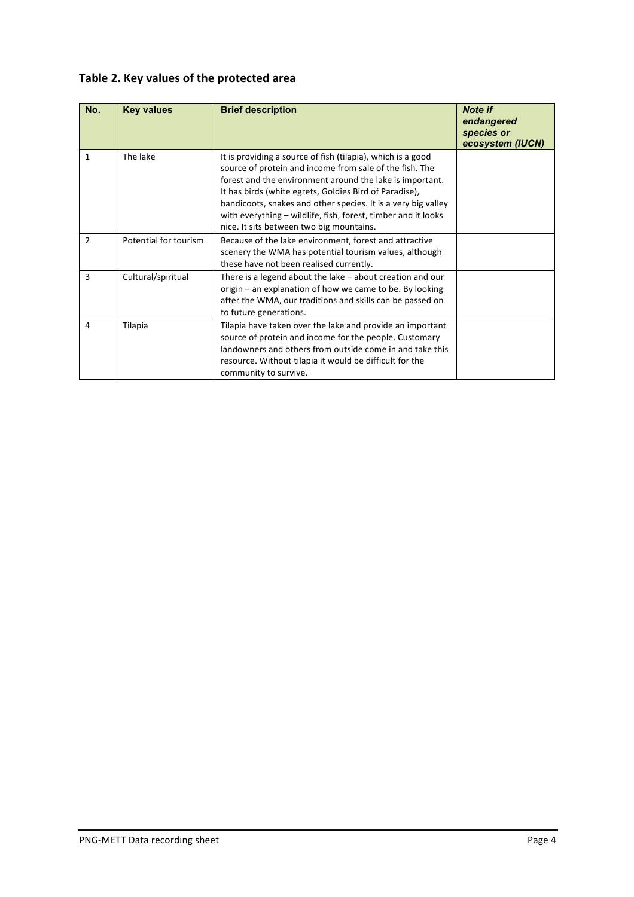|  |  |  |  | Table 2. Key values of the protected area |  |
|--|--|--|--|-------------------------------------------|--|
|--|--|--|--|-------------------------------------------|--|

| No.           | <b>Key values</b>     | <b>Brief description</b>                                                                                                                                                                                                                                                                                                                                                                                                   | <b>Note if</b><br>endangered<br>species or<br>ecosystem (IUCN) |
|---------------|-----------------------|----------------------------------------------------------------------------------------------------------------------------------------------------------------------------------------------------------------------------------------------------------------------------------------------------------------------------------------------------------------------------------------------------------------------------|----------------------------------------------------------------|
| 1             | The lake              | It is providing a source of fish (tilapia), which is a good<br>source of protein and income from sale of the fish. The<br>forest and the environment around the lake is important.<br>It has birds (white egrets, Goldies Bird of Paradise),<br>bandicoots, snakes and other species. It is a very big valley<br>with everything – wildlife, fish, forest, timber and it looks<br>nice. It sits between two big mountains. |                                                                |
| $\mathcal{P}$ | Potential for tourism | Because of the lake environment, forest and attractive<br>scenery the WMA has potential tourism values, although<br>these have not been realised currently.                                                                                                                                                                                                                                                                |                                                                |
| 3             | Cultural/spiritual    | There is a legend about the lake $-$ about creation and our<br>origin - an explanation of how we came to be. By looking<br>after the WMA, our traditions and skills can be passed on<br>to future generations.                                                                                                                                                                                                             |                                                                |
| 4             | Tilapia               | Tilapia have taken over the lake and provide an important<br>source of protein and income for the people. Customary<br>landowners and others from outside come in and take this<br>resource. Without tilapia it would be difficult for the<br>community to survive.                                                                                                                                                        |                                                                |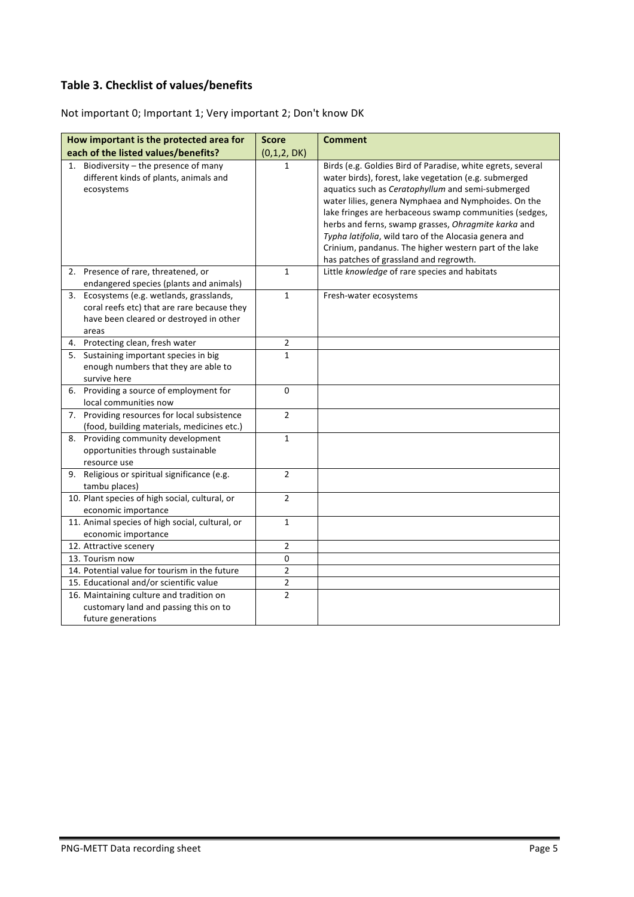### **Table 3. Checklist of values/benefits**

Not important 0; Important 1; Very important 2; Don't know DK

|    | How important is the protected area for                                                                                                      | <b>Score</b>   | <b>Comment</b>                                                                                                                                                                                                                                                                                                                                                                                                                                                                                                  |
|----|----------------------------------------------------------------------------------------------------------------------------------------------|----------------|-----------------------------------------------------------------------------------------------------------------------------------------------------------------------------------------------------------------------------------------------------------------------------------------------------------------------------------------------------------------------------------------------------------------------------------------------------------------------------------------------------------------|
|    | each of the listed values/benefits?                                                                                                          | (0,1,2, DK)    |                                                                                                                                                                                                                                                                                                                                                                                                                                                                                                                 |
| 1. | Biodiversity - the presence of many<br>different kinds of plants, animals and<br>ecosystems                                                  | $\mathbf{1}$   | Birds (e.g. Goldies Bird of Paradise, white egrets, several<br>water birds), forest, lake vegetation (e.g. submerged<br>aquatics such as Ceratophyllum and semi-submerged<br>water lilies, genera Nymphaea and Nymphoides. On the<br>lake fringes are herbaceous swamp communities (sedges,<br>herbs and ferns, swamp grasses, Ohragmite karka and<br>Typha latifolia, wild taro of the Alocasia genera and<br>Crinium, pandanus. The higher western part of the lake<br>has patches of grassland and regrowth. |
|    | 2. Presence of rare, threatened, or<br>endangered species (plants and animals)                                                               | $\mathbf{1}$   | Little knowledge of rare species and habitats                                                                                                                                                                                                                                                                                                                                                                                                                                                                   |
|    | 3. Ecosystems (e.g. wetlands, grasslands,<br>coral reefs etc) that are rare because they<br>have been cleared or destroyed in other<br>areas | $\mathbf{1}$   | Fresh-water ecosystems                                                                                                                                                                                                                                                                                                                                                                                                                                                                                          |
|    | 4. Protecting clean, fresh water                                                                                                             | $\overline{2}$ |                                                                                                                                                                                                                                                                                                                                                                                                                                                                                                                 |
|    | 5. Sustaining important species in big<br>enough numbers that they are able to<br>survive here                                               | $\mathbf{1}$   |                                                                                                                                                                                                                                                                                                                                                                                                                                                                                                                 |
|    | 6. Providing a source of employment for<br>local communities now                                                                             | 0              |                                                                                                                                                                                                                                                                                                                                                                                                                                                                                                                 |
|    | 7. Providing resources for local subsistence<br>(food, building materials, medicines etc.)                                                   | $\overline{2}$ |                                                                                                                                                                                                                                                                                                                                                                                                                                                                                                                 |
| 8. | Providing community development<br>opportunities through sustainable<br>resource use                                                         | $\mathbf{1}$   |                                                                                                                                                                                                                                                                                                                                                                                                                                                                                                                 |
|    | 9. Religious or spiritual significance (e.g.<br>tambu places)                                                                                | $\overline{2}$ |                                                                                                                                                                                                                                                                                                                                                                                                                                                                                                                 |
|    | 10. Plant species of high social, cultural, or<br>economic importance                                                                        | $\overline{2}$ |                                                                                                                                                                                                                                                                                                                                                                                                                                                                                                                 |
|    | 11. Animal species of high social, cultural, or<br>economic importance                                                                       | $\mathbf{1}$   |                                                                                                                                                                                                                                                                                                                                                                                                                                                                                                                 |
|    | 12. Attractive scenery                                                                                                                       | $\overline{2}$ |                                                                                                                                                                                                                                                                                                                                                                                                                                                                                                                 |
|    | 13. Tourism now                                                                                                                              | $\Omega$       |                                                                                                                                                                                                                                                                                                                                                                                                                                                                                                                 |
|    | 14. Potential value for tourism in the future                                                                                                | $\overline{2}$ |                                                                                                                                                                                                                                                                                                                                                                                                                                                                                                                 |
|    | 15. Educational and/or scientific value                                                                                                      | $\overline{2}$ |                                                                                                                                                                                                                                                                                                                                                                                                                                                                                                                 |
|    | 16. Maintaining culture and tradition on<br>customary land and passing this on to<br>future generations                                      | $\overline{2}$ |                                                                                                                                                                                                                                                                                                                                                                                                                                                                                                                 |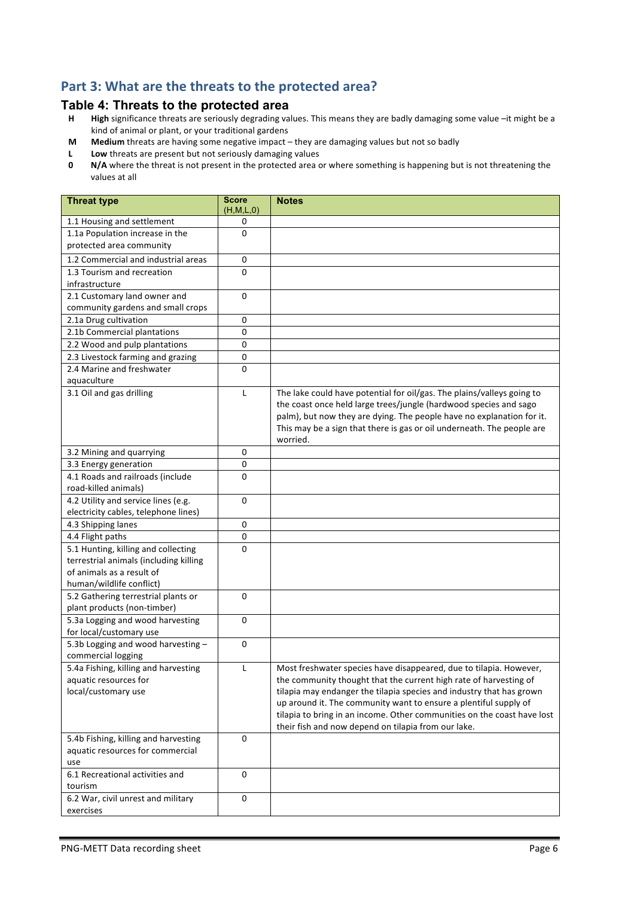### **Part 3: What are the threats to the protected area?**

# **Table 4: Threats to the protected area**<br>**H** High significance threats are seriously degrading va

- High significance threats are seriously degrading values. This means they are badly damaging some value -it might be a kind of animal or plant, or your traditional gardens
- **M** Medium threats are having some negative impact they are damaging values but not so badly
- **L** Low threats are present but not seriously damaging values<br>**0** N/A where the threat is not present in the protected area c
- **N/A** where the threat is not present in the protected area or where something is happening but is not threatening the values at all

| <b>Threat type</b>                                           | <b>Score</b><br>(H,M,L,0) | <b>Notes</b>                                                                                                                              |
|--------------------------------------------------------------|---------------------------|-------------------------------------------------------------------------------------------------------------------------------------------|
| 1.1 Housing and settlement                                   | 0                         |                                                                                                                                           |
| 1.1a Population increase in the                              | 0                         |                                                                                                                                           |
| protected area community                                     |                           |                                                                                                                                           |
| 1.2 Commercial and industrial areas                          | 0                         |                                                                                                                                           |
| 1.3 Tourism and recreation                                   | 0                         |                                                                                                                                           |
| infrastructure                                               |                           |                                                                                                                                           |
| 2.1 Customary land owner and                                 | 0                         |                                                                                                                                           |
| community gardens and small crops                            |                           |                                                                                                                                           |
| 2.1a Drug cultivation                                        | 0                         |                                                                                                                                           |
| 2.1b Commercial plantations                                  | 0                         |                                                                                                                                           |
| 2.2 Wood and pulp plantations                                | 0                         |                                                                                                                                           |
| 2.3 Livestock farming and grazing                            | 0                         |                                                                                                                                           |
| 2.4 Marine and freshwater                                    | $\Omega$                  |                                                                                                                                           |
| aquaculture                                                  |                           |                                                                                                                                           |
| 3.1 Oil and gas drilling                                     | L                         | The lake could have potential for oil/gas. The plains/valleys going to                                                                    |
|                                                              |                           | the coast once held large trees/jungle (hardwood species and sago                                                                         |
|                                                              |                           | palm), but now they are dying. The people have no explanation for it.                                                                     |
|                                                              |                           | This may be a sign that there is gas or oil underneath. The people are                                                                    |
|                                                              |                           | worried.                                                                                                                                  |
| 3.2 Mining and quarrying                                     | 0                         |                                                                                                                                           |
| 3.3 Energy generation                                        | 0                         |                                                                                                                                           |
| 4.1 Roads and railroads (include                             | 0                         |                                                                                                                                           |
| road-killed animals)                                         |                           |                                                                                                                                           |
| 4.2 Utility and service lines (e.g.                          | $\Omega$                  |                                                                                                                                           |
| electricity cables, telephone lines)                         |                           |                                                                                                                                           |
| 4.3 Shipping lanes                                           | $\pmb{0}$                 |                                                                                                                                           |
| 4.4 Flight paths                                             | 0                         |                                                                                                                                           |
| 5.1 Hunting, killing and collecting                          | $\Omega$                  |                                                                                                                                           |
| terrestrial animals (including killing                       |                           |                                                                                                                                           |
| of animals as a result of                                    |                           |                                                                                                                                           |
| human/wildlife conflict)                                     |                           |                                                                                                                                           |
| 5.2 Gathering terrestrial plants or                          | $\Omega$                  |                                                                                                                                           |
| plant products (non-timber)                                  |                           |                                                                                                                                           |
| 5.3a Logging and wood harvesting                             | 0                         |                                                                                                                                           |
| for local/customary use<br>5.3b Logging and wood harvesting- | $\Omega$                  |                                                                                                                                           |
|                                                              |                           |                                                                                                                                           |
| commercial logging<br>5.4a Fishing, killing and harvesting   | L                         | Most freshwater species have disappeared, due to tilapia. However,                                                                        |
|                                                              |                           |                                                                                                                                           |
| aquatic resources for<br>local/customary use                 |                           | the community thought that the current high rate of harvesting of<br>tilapia may endanger the tilapia species and industry that has grown |
|                                                              |                           | up around it. The community want to ensure a plentiful supply of                                                                          |
|                                                              |                           | tilapia to bring in an income. Other communities on the coast have lost                                                                   |
|                                                              |                           | their fish and now depend on tilapia from our lake.                                                                                       |
| 5.4b Fishing, killing and harvesting                         | 0                         |                                                                                                                                           |
| aquatic resources for commercial                             |                           |                                                                                                                                           |
| use                                                          |                           |                                                                                                                                           |
| 6.1 Recreational activities and                              | $\mathbf 0$               |                                                                                                                                           |
| tourism                                                      |                           |                                                                                                                                           |
| 6.2 War, civil unrest and military                           | 0                         |                                                                                                                                           |
| exercises                                                    |                           |                                                                                                                                           |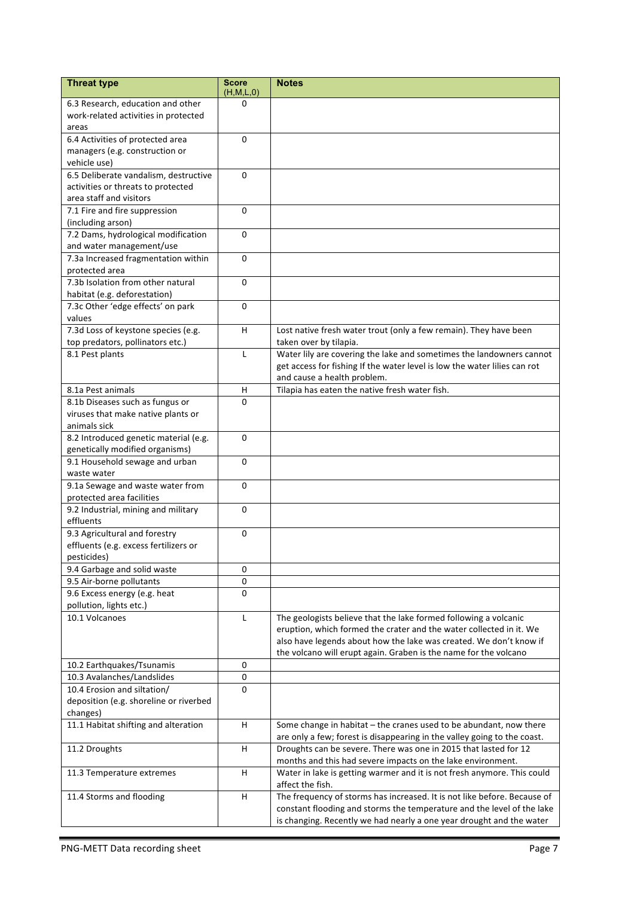| <b>Threat type</b>                     | <b>Score</b><br>(H,M,L,0) | <b>Notes</b>                                                              |
|----------------------------------------|---------------------------|---------------------------------------------------------------------------|
| 6.3 Research, education and other      | 0                         |                                                                           |
| work-related activities in protected   |                           |                                                                           |
| areas                                  |                           |                                                                           |
| 6.4 Activities of protected area       | 0                         |                                                                           |
| managers (e.g. construction or         |                           |                                                                           |
| vehicle use)                           |                           |                                                                           |
| 6.5 Deliberate vandalism, destructive  | $\mathbf{0}$              |                                                                           |
| activities or threats to protected     |                           |                                                                           |
| area staff and visitors                |                           |                                                                           |
| 7.1 Fire and fire suppression          | 0                         |                                                                           |
| (including arson)                      |                           |                                                                           |
| 7.2 Dams, hydrological modification    | 0                         |                                                                           |
| and water management/use               |                           |                                                                           |
| 7.3a Increased fragmentation within    | $\Omega$                  |                                                                           |
| protected area                         |                           |                                                                           |
| 7.3b Isolation from other natural      | 0                         |                                                                           |
| habitat (e.g. deforestation)           |                           |                                                                           |
| 7.3c Other 'edge effects' on park      | 0                         |                                                                           |
| values                                 |                           |                                                                           |
| 7.3d Loss of keystone species (e.g.    | H                         | Lost native fresh water trout (only a few remain). They have been         |
| top predators, pollinators etc.)       |                           | taken over by tilapia.                                                    |
| 8.1 Pest plants                        | L                         | Water lily are covering the lake and sometimes the landowners cannot      |
|                                        |                           | get access for fishing If the water level is low the water lilies can rot |
|                                        |                           | and cause a health problem.                                               |
| 8.1a Pest animals                      | H                         | Tilapia has eaten the native fresh water fish.                            |
| 8.1b Diseases such as fungus or        | 0                         |                                                                           |
| viruses that make native plants or     |                           |                                                                           |
| animals sick                           |                           |                                                                           |
| 8.2 Introduced genetic material (e.g.  | $\Omega$                  |                                                                           |
| genetically modified organisms)        |                           |                                                                           |
| 9.1 Household sewage and urban         | 0                         |                                                                           |
| waste water                            |                           |                                                                           |
| 9.1a Sewage and waste water from       | 0                         |                                                                           |
| protected area facilities              |                           |                                                                           |
| 9.2 Industrial, mining and military    | 0                         |                                                                           |
| effluents                              |                           |                                                                           |
| 9.3 Agricultural and forestry          | 0                         |                                                                           |
| effluents (e.g. excess fertilizers or  |                           |                                                                           |
| pesticides)                            |                           |                                                                           |
| 9.4 Garbage and solid waste            | 0                         |                                                                           |
| 9.5 Air-borne pollutants               | 0                         |                                                                           |
| 9.6 Excess energy (e.g. heat           | 0                         |                                                                           |
| pollution, lights etc.)                |                           |                                                                           |
| 10.1 Volcanoes                         | L                         | The geologists believe that the lake formed following a volcanic          |
|                                        |                           | eruption, which formed the crater and the water collected in it. We       |
|                                        |                           | also have legends about how the lake was created. We don't know if        |
|                                        |                           | the volcano will erupt again. Graben is the name for the volcano          |
| 10.2 Earthquakes/Tsunamis              | 0                         |                                                                           |
| 10.3 Avalanches/Landslides             | 0                         |                                                                           |
| 10.4 Erosion and siltation/            | 0                         |                                                                           |
| deposition (e.g. shoreline or riverbed |                           |                                                                           |
| changes)                               |                           |                                                                           |
| 11.1 Habitat shifting and alteration   | H                         | Some change in habitat - the cranes used to be abundant, now there        |
|                                        |                           | are only a few; forest is disappearing in the valley going to the coast.  |
| 11.2 Droughts                          | H                         | Droughts can be severe. There was one in 2015 that lasted for 12          |
|                                        |                           | months and this had severe impacts on the lake environment.               |
| 11.3 Temperature extremes              | н                         | Water in lake is getting warmer and it is not fresh anymore. This could   |
|                                        |                           | affect the fish.                                                          |
| 11.4 Storms and flooding               | H                         | The frequency of storms has increased. It is not like before. Because of  |
|                                        |                           | constant flooding and storms the temperature and the level of the lake    |
|                                        |                           | is changing. Recently we had nearly a one year drought and the water      |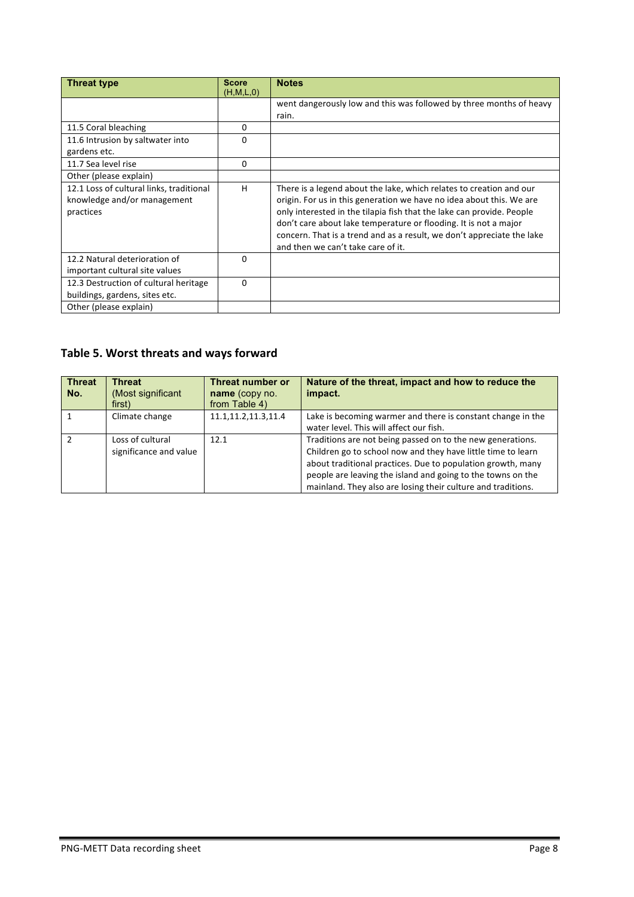| <b>Threat type</b>                                                                   | <b>Score</b><br>(H, M, L, 0) | <b>Notes</b>                                                                                                                                                                                                                                                                                                                                                                                             |
|--------------------------------------------------------------------------------------|------------------------------|----------------------------------------------------------------------------------------------------------------------------------------------------------------------------------------------------------------------------------------------------------------------------------------------------------------------------------------------------------------------------------------------------------|
|                                                                                      |                              | went dangerously low and this was followed by three months of heavy                                                                                                                                                                                                                                                                                                                                      |
|                                                                                      |                              | rain.                                                                                                                                                                                                                                                                                                                                                                                                    |
| 11.5 Coral bleaching                                                                 | 0                            |                                                                                                                                                                                                                                                                                                                                                                                                          |
| 11.6 Intrusion by saltwater into                                                     | $\Omega$                     |                                                                                                                                                                                                                                                                                                                                                                                                          |
| gardens etc.                                                                         |                              |                                                                                                                                                                                                                                                                                                                                                                                                          |
| 11.7 Sea level rise                                                                  | $\Omega$                     |                                                                                                                                                                                                                                                                                                                                                                                                          |
| Other (please explain)                                                               |                              |                                                                                                                                                                                                                                                                                                                                                                                                          |
| 12.1 Loss of cultural links, traditional<br>knowledge and/or management<br>practices | H                            | There is a legend about the lake, which relates to creation and our<br>origin. For us in this generation we have no idea about this. We are<br>only interested in the tilapia fish that the lake can provide. People<br>don't care about lake temperature or flooding. It is not a major<br>concern. That is a trend and as a result, we don't appreciate the lake<br>and then we can't take care of it. |
| 12.2 Natural deterioration of<br>important cultural site values                      | $\Omega$                     |                                                                                                                                                                                                                                                                                                                                                                                                          |
| 12.3 Destruction of cultural heritage<br>buildings, gardens, sites etc.              | $\Omega$                     |                                                                                                                                                                                                                                                                                                                                                                                                          |
| Other (please explain)                                                               |                              |                                                                                                                                                                                                                                                                                                                                                                                                          |

### Table 5. Worst threats and ways forward

| <b>Threat</b><br>No. | <b>Threat</b><br>(Most significant<br>first) | Threat number or<br>name (copy no.<br>from Table 4) | Nature of the threat, impact and how to reduce the<br>impact.                                                                                                                                                                                                                                                            |
|----------------------|----------------------------------------------|-----------------------------------------------------|--------------------------------------------------------------------------------------------------------------------------------------------------------------------------------------------------------------------------------------------------------------------------------------------------------------------------|
|                      | Climate change                               | 11.1, 11.2, 11.3, 11.4                              | Lake is becoming warmer and there is constant change in the<br>water level. This will affect our fish.                                                                                                                                                                                                                   |
|                      | Loss of cultural<br>significance and value   | 12.1                                                | Traditions are not being passed on to the new generations.<br>Children go to school now and they have little time to learn<br>about traditional practices. Due to population growth, many<br>people are leaving the island and going to the towns on the<br>mainland. They also are losing their culture and traditions. |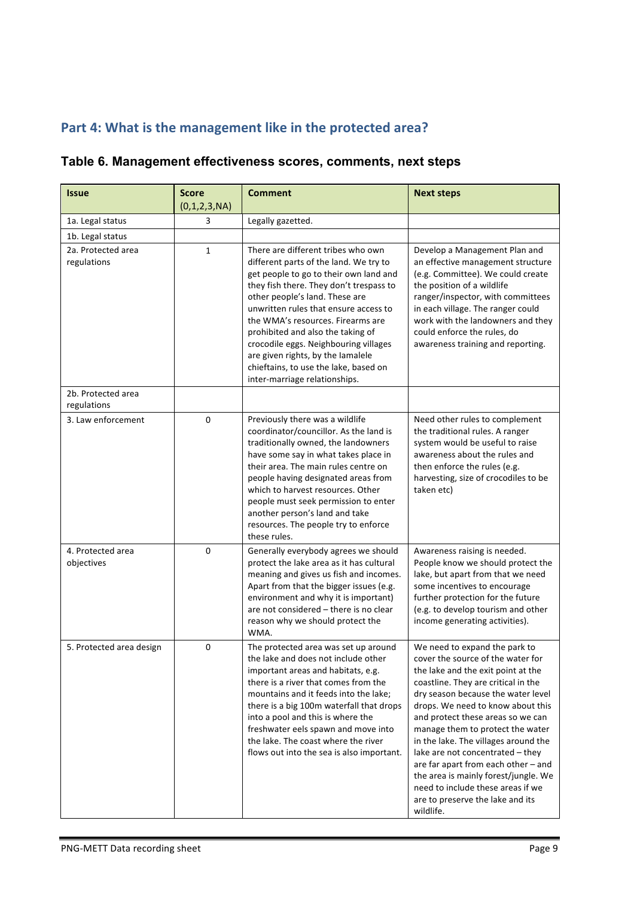## Part 4: What is the management like in the protected area?

### **Table 6. Management effectiveness scores, comments, next steps**

| <b>Issue</b>                      | <b>Score</b><br>(0,1,2,3,NA) | <b>Comment</b>                                                                                                                                                                                                                                                                                                                                                                                                 | <b>Next steps</b>                                                                                                                                                                                                                                                                                                                                                                                                                                                                                                                                    |
|-----------------------------------|------------------------------|----------------------------------------------------------------------------------------------------------------------------------------------------------------------------------------------------------------------------------------------------------------------------------------------------------------------------------------------------------------------------------------------------------------|------------------------------------------------------------------------------------------------------------------------------------------------------------------------------------------------------------------------------------------------------------------------------------------------------------------------------------------------------------------------------------------------------------------------------------------------------------------------------------------------------------------------------------------------------|
| 1a. Legal status                  | 3                            | Legally gazetted.                                                                                                                                                                                                                                                                                                                                                                                              |                                                                                                                                                                                                                                                                                                                                                                                                                                                                                                                                                      |
| 1b. Legal status                  |                              |                                                                                                                                                                                                                                                                                                                                                                                                                |                                                                                                                                                                                                                                                                                                                                                                                                                                                                                                                                                      |
| 2a. Protected area<br>regulations | $\mathbf{1}$                 | There are different tribes who own<br>different parts of the land. We try to<br>get people to go to their own land and<br>they fish there. They don't trespass to<br>other people's land. These are<br>unwritten rules that ensure access to                                                                                                                                                                   | Develop a Management Plan and<br>an effective management structure<br>(e.g. Committee). We could create<br>the position of a wildlife<br>ranger/inspector, with committees<br>in each village. The ranger could                                                                                                                                                                                                                                                                                                                                      |
|                                   |                              | the WMA's resources. Firearms are<br>prohibited and also the taking of<br>crocodile eggs. Neighbouring villages<br>are given rights, by the lamalele<br>chieftains, to use the lake, based on<br>inter-marriage relationships.                                                                                                                                                                                 | work with the landowners and they<br>could enforce the rules, do<br>awareness training and reporting.                                                                                                                                                                                                                                                                                                                                                                                                                                                |
| 2b. Protected area<br>regulations |                              |                                                                                                                                                                                                                                                                                                                                                                                                                |                                                                                                                                                                                                                                                                                                                                                                                                                                                                                                                                                      |
| 3. Law enforcement                | 0                            | Previously there was a wildlife<br>coordinator/councillor. As the land is<br>traditionally owned, the landowners<br>have some say in what takes place in<br>their area. The main rules centre on<br>people having designated areas from<br>which to harvest resources. Other<br>people must seek permission to enter<br>another person's land and take<br>resources. The people try to enforce<br>these rules. | Need other rules to complement<br>the traditional rules. A ranger<br>system would be useful to raise<br>awareness about the rules and<br>then enforce the rules (e.g.<br>harvesting, size of crocodiles to be<br>taken etc)                                                                                                                                                                                                                                                                                                                          |
| 4. Protected area<br>objectives   | 0                            | Generally everybody agrees we should<br>protect the lake area as it has cultural<br>meaning and gives us fish and incomes.<br>Apart from that the bigger issues (e.g.<br>environment and why it is important)<br>are not considered - there is no clear<br>reason why we should protect the<br>WMA.                                                                                                            | Awareness raising is needed.<br>People know we should protect the<br>lake, but apart from that we need<br>some incentives to encourage<br>further protection for the future<br>(e.g. to develop tourism and other<br>income generating activities).                                                                                                                                                                                                                                                                                                  |
| 5. Protected area design          | 0                            | The protected area was set up around<br>the lake and does not include other<br>important areas and habitats, e.g.<br>there is a river that comes from the<br>mountains and it feeds into the lake;<br>there is a big 100m waterfall that drops<br>into a pool and this is where the<br>freshwater eels spawn and move into<br>the lake. The coast where the river<br>flows out into the sea is also important. | We need to expand the park to<br>cover the source of the water for<br>the lake and the exit point at the<br>coastline. They are critical in the<br>dry season because the water level<br>drops. We need to know about this<br>and protect these areas so we can<br>manage them to protect the water<br>in the lake. The villages around the<br>lake are not concentrated - they<br>are far apart from each other - and<br>the area is mainly forest/jungle. We<br>need to include these areas if we<br>are to preserve the lake and its<br>wildlife. |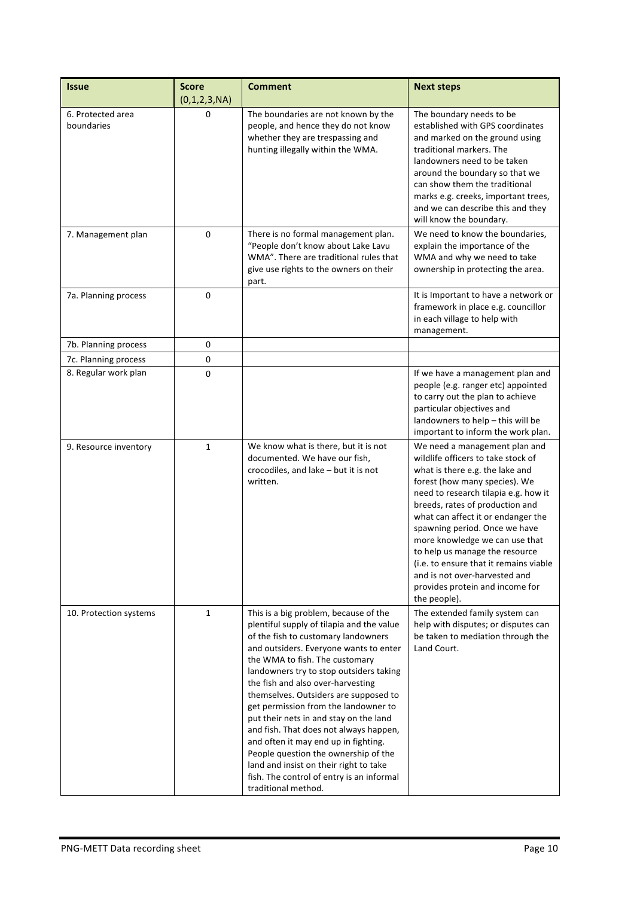| <b>Issue</b>                    | <b>Score</b><br>(0,1,2,3,NA) | <b>Comment</b>                                                                                                                                                                                                                                                                                                                                                                                                                                                                                                                                                                                                                                           | <b>Next steps</b>                                                                                                                                                                                                                                                                                                                                                                                                                                                                           |
|---------------------------------|------------------------------|----------------------------------------------------------------------------------------------------------------------------------------------------------------------------------------------------------------------------------------------------------------------------------------------------------------------------------------------------------------------------------------------------------------------------------------------------------------------------------------------------------------------------------------------------------------------------------------------------------------------------------------------------------|---------------------------------------------------------------------------------------------------------------------------------------------------------------------------------------------------------------------------------------------------------------------------------------------------------------------------------------------------------------------------------------------------------------------------------------------------------------------------------------------|
| 6. Protected area<br>boundaries | 0                            | The boundaries are not known by the<br>people, and hence they do not know<br>whether they are trespassing and<br>hunting illegally within the WMA.                                                                                                                                                                                                                                                                                                                                                                                                                                                                                                       | The boundary needs to be<br>established with GPS coordinates<br>and marked on the ground using<br>traditional markers. The<br>landowners need to be taken<br>around the boundary so that we<br>can show them the traditional<br>marks e.g. creeks, important trees,<br>and we can describe this and they<br>will know the boundary.                                                                                                                                                         |
| 7. Management plan              | 0                            | There is no formal management plan.<br>"People don't know about Lake Lavu<br>WMA". There are traditional rules that<br>give use rights to the owners on their<br>part.                                                                                                                                                                                                                                                                                                                                                                                                                                                                                   | We need to know the boundaries,<br>explain the importance of the<br>WMA and why we need to take<br>ownership in protecting the area.                                                                                                                                                                                                                                                                                                                                                        |
| 7a. Planning process            | 0                            |                                                                                                                                                                                                                                                                                                                                                                                                                                                                                                                                                                                                                                                          | It is Important to have a network or<br>framework in place e.g. councillor<br>in each village to help with<br>management.                                                                                                                                                                                                                                                                                                                                                                   |
| 7b. Planning process            | 0                            |                                                                                                                                                                                                                                                                                                                                                                                                                                                                                                                                                                                                                                                          |                                                                                                                                                                                                                                                                                                                                                                                                                                                                                             |
| 7c. Planning process            | $\mathsf 0$                  |                                                                                                                                                                                                                                                                                                                                                                                                                                                                                                                                                                                                                                                          |                                                                                                                                                                                                                                                                                                                                                                                                                                                                                             |
| 8. Regular work plan            | 0                            |                                                                                                                                                                                                                                                                                                                                                                                                                                                                                                                                                                                                                                                          | If we have a management plan and<br>people (e.g. ranger etc) appointed<br>to carry out the plan to achieve<br>particular objectives and<br>landowners to help - this will be<br>important to inform the work plan.                                                                                                                                                                                                                                                                          |
| 9. Resource inventory           | $\mathbf{1}$                 | We know what is there, but it is not<br>documented. We have our fish,<br>crocodiles, and lake - but it is not<br>written.                                                                                                                                                                                                                                                                                                                                                                                                                                                                                                                                | We need a management plan and<br>wildlife officers to take stock of<br>what is there e.g. the lake and<br>forest (how many species). We<br>need to research tilapia e.g. how it<br>breeds, rates of production and<br>what can affect it or endanger the<br>spawning period. Once we have<br>more knowledge we can use that<br>to help us manage the resource<br>(i.e. to ensure that it remains viable<br>and is not over-harvested and<br>provides protein and income for<br>the people). |
| 10. Protection systems          | $\mathbf 1$                  | This is a big problem, because of the<br>plentiful supply of tilapia and the value<br>of the fish to customary landowners<br>and outsiders. Everyone wants to enter<br>the WMA to fish. The customary<br>landowners try to stop outsiders taking<br>the fish and also over-harvesting<br>themselves. Outsiders are supposed to<br>get permission from the landowner to<br>put their nets in and stay on the land<br>and fish. That does not always happen,<br>and often it may end up in fighting.<br>People question the ownership of the<br>land and insist on their right to take<br>fish. The control of entry is an informal<br>traditional method. | The extended family system can<br>help with disputes; or disputes can<br>be taken to mediation through the<br>Land Court.                                                                                                                                                                                                                                                                                                                                                                   |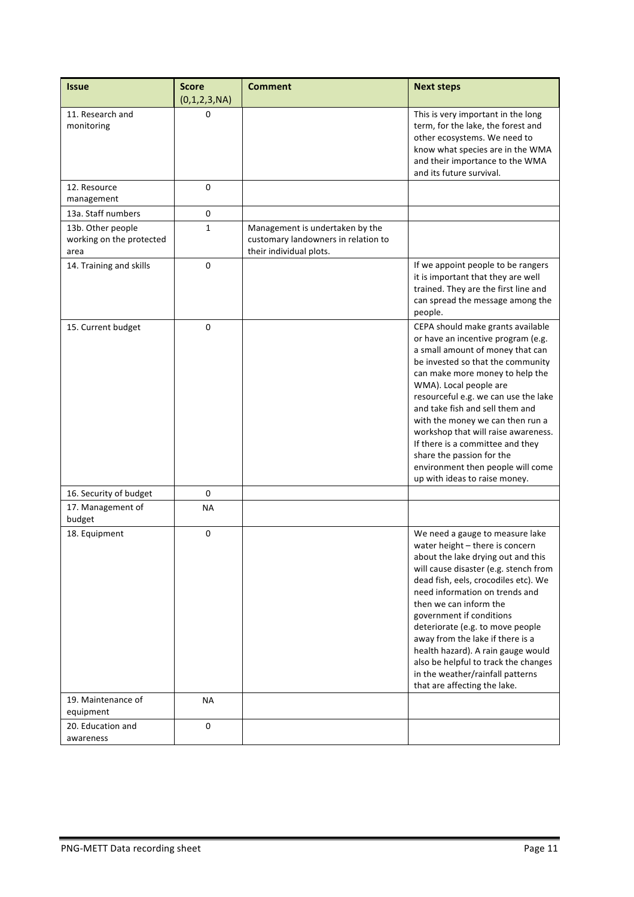| <b>Issue</b>                                          | <b>Score</b> | <b>Comment</b>                                                                                    | <b>Next steps</b>                                                                                                                                                                                                                                                                                                                                                                                                                                                                                           |
|-------------------------------------------------------|--------------|---------------------------------------------------------------------------------------------------|-------------------------------------------------------------------------------------------------------------------------------------------------------------------------------------------------------------------------------------------------------------------------------------------------------------------------------------------------------------------------------------------------------------------------------------------------------------------------------------------------------------|
|                                                       | (0,1,2,3,NA) |                                                                                                   |                                                                                                                                                                                                                                                                                                                                                                                                                                                                                                             |
| 11. Research and<br>monitoring                        | 0            |                                                                                                   | This is very important in the long<br>term, for the lake, the forest and<br>other ecosystems. We need to<br>know what species are in the WMA<br>and their importance to the WMA<br>and its future survival.                                                                                                                                                                                                                                                                                                 |
| 12. Resource<br>management                            | 0            |                                                                                                   |                                                                                                                                                                                                                                                                                                                                                                                                                                                                                                             |
| 13a. Staff numbers                                    | 0            |                                                                                                   |                                                                                                                                                                                                                                                                                                                                                                                                                                                                                                             |
| 13b. Other people<br>working on the protected<br>area | $\mathbf{1}$ | Management is undertaken by the<br>customary landowners in relation to<br>their individual plots. |                                                                                                                                                                                                                                                                                                                                                                                                                                                                                                             |
| 14. Training and skills                               | 0            |                                                                                                   | If we appoint people to be rangers<br>it is important that they are well<br>trained. They are the first line and<br>can spread the message among the<br>people.                                                                                                                                                                                                                                                                                                                                             |
| 15. Current budget                                    | 0            |                                                                                                   | CEPA should make grants available<br>or have an incentive program (e.g.<br>a small amount of money that can<br>be invested so that the community<br>can make more money to help the<br>WMA). Local people are<br>resourceful e.g. we can use the lake<br>and take fish and sell them and<br>with the money we can then run a<br>workshop that will raise awareness.<br>If there is a committee and they<br>share the passion for the<br>environment then people will come<br>up with ideas to raise money.  |
| 16. Security of budget                                | 0            |                                                                                                   |                                                                                                                                                                                                                                                                                                                                                                                                                                                                                                             |
| 17. Management of<br>budget                           | ΝA           |                                                                                                   |                                                                                                                                                                                                                                                                                                                                                                                                                                                                                                             |
| 18. Equipment                                         | 0            |                                                                                                   | We need a gauge to measure lake<br>water height - there is concern<br>about the lake drying out and this<br>will cause disaster (e.g. stench from<br>dead fish, eels, crocodiles etc). We<br>need information on trends and<br>then we can inform the<br>government if conditions<br>deteriorate (e.g. to move people<br>away from the lake if there is a<br>health hazard). A rain gauge would<br>also be helpful to track the changes<br>in the weather/rainfall patterns<br>that are affecting the lake. |
| 19. Maintenance of<br>equipment                       | ΝA           |                                                                                                   |                                                                                                                                                                                                                                                                                                                                                                                                                                                                                                             |
| 20. Education and                                     | 0            |                                                                                                   |                                                                                                                                                                                                                                                                                                                                                                                                                                                                                                             |
| awareness                                             |              |                                                                                                   |                                                                                                                                                                                                                                                                                                                                                                                                                                                                                                             |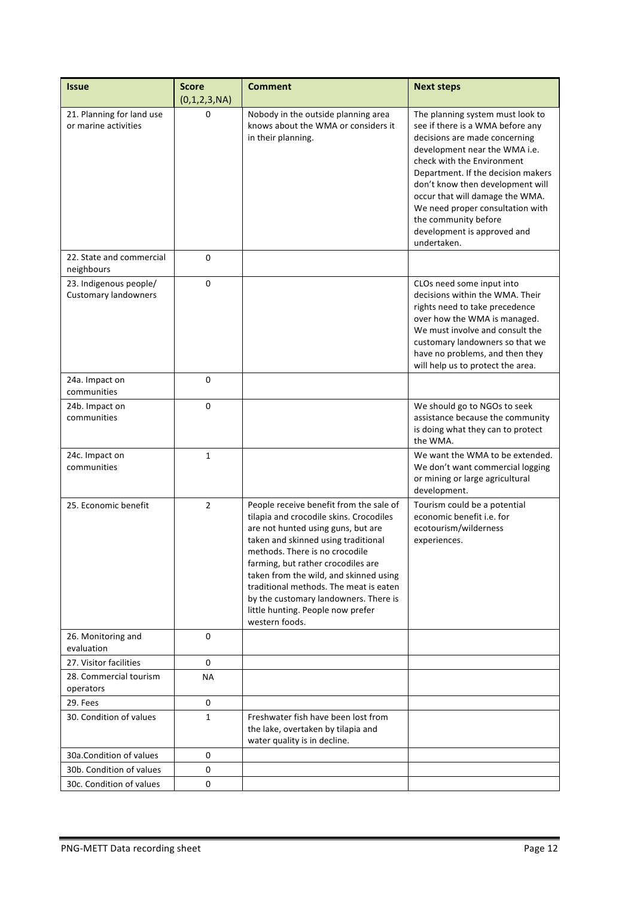| <b>Issue</b>                                          | <b>Score</b><br>(0,1,2,3,NA) | <b>Comment</b>                                                                                                                                                                                                                                                                                                                                                                                                              | <b>Next steps</b>                                                                                                                                                                                                                                                                                                                                                                           |
|-------------------------------------------------------|------------------------------|-----------------------------------------------------------------------------------------------------------------------------------------------------------------------------------------------------------------------------------------------------------------------------------------------------------------------------------------------------------------------------------------------------------------------------|---------------------------------------------------------------------------------------------------------------------------------------------------------------------------------------------------------------------------------------------------------------------------------------------------------------------------------------------------------------------------------------------|
| 21. Planning for land use<br>or marine activities     | 0                            | Nobody in the outside planning area<br>knows about the WMA or considers it<br>in their planning.                                                                                                                                                                                                                                                                                                                            | The planning system must look to<br>see if there is a WMA before any<br>decisions are made concerning<br>development near the WMA i.e.<br>check with the Environment<br>Department. If the decision makers<br>don't know then development will<br>occur that will damage the WMA.<br>We need proper consultation with<br>the community before<br>development is approved and<br>undertaken. |
| 22. State and commercial<br>neighbours                | 0                            |                                                                                                                                                                                                                                                                                                                                                                                                                             |                                                                                                                                                                                                                                                                                                                                                                                             |
| 23. Indigenous people/<br><b>Customary landowners</b> | 0                            |                                                                                                                                                                                                                                                                                                                                                                                                                             | CLOs need some input into<br>decisions within the WMA. Their<br>rights need to take precedence<br>over how the WMA is managed.<br>We must involve and consult the<br>customary landowners so that we<br>have no problems, and then they<br>will help us to protect the area.                                                                                                                |
| 24a. Impact on<br>communities                         | $\mathbf 0$                  |                                                                                                                                                                                                                                                                                                                                                                                                                             |                                                                                                                                                                                                                                                                                                                                                                                             |
| 24b. Impact on<br>communities                         | 0                            |                                                                                                                                                                                                                                                                                                                                                                                                                             | We should go to NGOs to seek<br>assistance because the community<br>is doing what they can to protect<br>the WMA.                                                                                                                                                                                                                                                                           |
| 24c. Impact on<br>communities                         | $\mathbf{1}$                 |                                                                                                                                                                                                                                                                                                                                                                                                                             | We want the WMA to be extended.<br>We don't want commercial logging<br>or mining or large agricultural<br>development.                                                                                                                                                                                                                                                                      |
| 25. Economic benefit                                  | $\overline{2}$               | People receive benefit from the sale of<br>tilapia and crocodile skins. Crocodiles<br>are not hunted using guns, but are<br>taken and skinned using traditional<br>methods. There is no crocodile<br>farming, but rather crocodiles are<br>taken from the wild, and skinned using<br>traditional methods. The meat is eaten<br>by the customary landowners. There is<br>little hunting. People now prefer<br>western foods. | Tourism could be a potential<br>economic benefit i.e. for<br>ecotourism/wilderness<br>experiences.                                                                                                                                                                                                                                                                                          |
| 26. Monitoring and<br>evaluation                      | 0                            |                                                                                                                                                                                                                                                                                                                                                                                                                             |                                                                                                                                                                                                                                                                                                                                                                                             |
| 27. Visitor facilities                                | 0                            |                                                                                                                                                                                                                                                                                                                                                                                                                             |                                                                                                                                                                                                                                                                                                                                                                                             |
| 28. Commercial tourism<br>operators                   | <b>NA</b>                    |                                                                                                                                                                                                                                                                                                                                                                                                                             |                                                                                                                                                                                                                                                                                                                                                                                             |
| 29. Fees                                              | $\mathsf 0$                  |                                                                                                                                                                                                                                                                                                                                                                                                                             |                                                                                                                                                                                                                                                                                                                                                                                             |
| 30. Condition of values                               | $\mathbf{1}$                 | Freshwater fish have been lost from<br>the lake, overtaken by tilapia and<br>water quality is in decline.                                                                                                                                                                                                                                                                                                                   |                                                                                                                                                                                                                                                                                                                                                                                             |
| 30a. Condition of values                              | 0                            |                                                                                                                                                                                                                                                                                                                                                                                                                             |                                                                                                                                                                                                                                                                                                                                                                                             |
| 30b. Condition of values                              | 0                            |                                                                                                                                                                                                                                                                                                                                                                                                                             |                                                                                                                                                                                                                                                                                                                                                                                             |
| 30c. Condition of values                              | 0                            |                                                                                                                                                                                                                                                                                                                                                                                                                             |                                                                                                                                                                                                                                                                                                                                                                                             |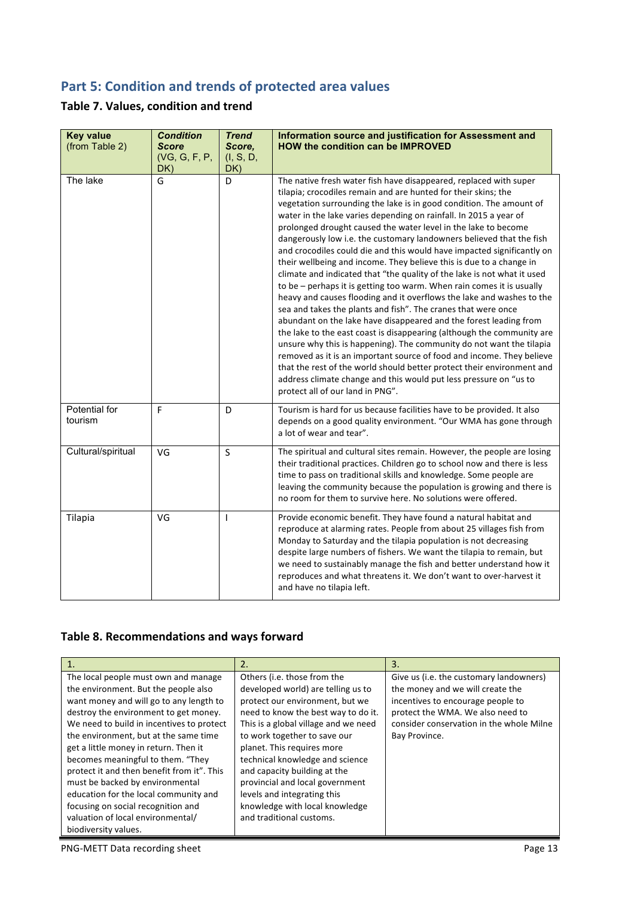### **Part 5: Condition and trends of protected area values**

### **Table 7. Values, condition and trend**

| <b>Key value</b><br>(from Table 2) | <b>Condition</b><br>Score<br>(VG, G, F, P,<br>DK) | <b>Trend</b><br>Score,<br>(I, S, D,<br>DK) | Information source and justification for Assessment and<br><b>HOW the condition can be IMPROVED</b>                                                                                                                                                                                                                                                                                                                                                                                                                                                                                                                                                                                                                                                                                                                                                                                                                                                                                                                                                                                                                                                                                                                                                                                                                                                           |
|------------------------------------|---------------------------------------------------|--------------------------------------------|---------------------------------------------------------------------------------------------------------------------------------------------------------------------------------------------------------------------------------------------------------------------------------------------------------------------------------------------------------------------------------------------------------------------------------------------------------------------------------------------------------------------------------------------------------------------------------------------------------------------------------------------------------------------------------------------------------------------------------------------------------------------------------------------------------------------------------------------------------------------------------------------------------------------------------------------------------------------------------------------------------------------------------------------------------------------------------------------------------------------------------------------------------------------------------------------------------------------------------------------------------------------------------------------------------------------------------------------------------------|
| The lake                           | G                                                 | D                                          | The native fresh water fish have disappeared, replaced with super<br>tilapia; crocodiles remain and are hunted for their skins; the<br>vegetation surrounding the lake is in good condition. The amount of<br>water in the lake varies depending on rainfall. In 2015 a year of<br>prolonged drought caused the water level in the lake to become<br>dangerously low i.e. the customary landowners believed that the fish<br>and crocodiles could die and this would have impacted significantly on<br>their wellbeing and income. They believe this is due to a change in<br>climate and indicated that "the quality of the lake is not what it used<br>to be $-$ perhaps it is getting too warm. When rain comes it is usually<br>heavy and causes flooding and it overflows the lake and washes to the<br>sea and takes the plants and fish". The cranes that were once<br>abundant on the lake have disappeared and the forest leading from<br>the lake to the east coast is disappearing (although the community are<br>unsure why this is happening). The community do not want the tilapia<br>removed as it is an important source of food and income. They believe<br>that the rest of the world should better protect their environment and<br>address climate change and this would put less pressure on "us to<br>protect all of our land in PNG". |
| Potential for<br>tourism           | $\mathsf{F}$                                      | D                                          | Tourism is hard for us because facilities have to be provided. It also<br>depends on a good quality environment. "Our WMA has gone through<br>a lot of wear and tear".                                                                                                                                                                                                                                                                                                                                                                                                                                                                                                                                                                                                                                                                                                                                                                                                                                                                                                                                                                                                                                                                                                                                                                                        |
| Cultural/spiritual                 | VG                                                | S                                          | The spiritual and cultural sites remain. However, the people are losing<br>their traditional practices. Children go to school now and there is less<br>time to pass on traditional skills and knowledge. Some people are<br>leaving the community because the population is growing and there is<br>no room for them to survive here. No solutions were offered.                                                                                                                                                                                                                                                                                                                                                                                                                                                                                                                                                                                                                                                                                                                                                                                                                                                                                                                                                                                              |
| Tilapia                            | VG                                                | T                                          | Provide economic benefit. They have found a natural habitat and<br>reproduce at alarming rates. People from about 25 villages fish from<br>Monday to Saturday and the tilapia population is not decreasing<br>despite large numbers of fishers. We want the tilapia to remain, but<br>we need to sustainably manage the fish and better understand how it<br>reproduces and what threatens it. We don't want to over-harvest it<br>and have no tilapia left.                                                                                                                                                                                                                                                                                                                                                                                                                                                                                                                                                                                                                                                                                                                                                                                                                                                                                                  |

#### Table 8. Recommendations and ways forward

| 1.                                         | 2.                                   | 3.                                       |
|--------------------------------------------|--------------------------------------|------------------------------------------|
| The local people must own and manage       | Others (i.e. those from the          | Give us (i.e. the customary landowners)  |
| the environment. But the people also       | developed world) are telling us to   | the money and we will create the         |
| want money and will go to any length to    | protect our environment, but we      | incentives to encourage people to        |
| destroy the environment to get money.      | need to know the best way to do it.  | protect the WMA. We also need to         |
| We need to build in incentives to protect  | This is a global village and we need | consider conservation in the whole Milne |
| the environment, but at the same time      | to work together to save our         | Bay Province.                            |
| get a little money in return. Then it      | planet. This requires more           |                                          |
| becomes meaningful to them. "They          | technical knowledge and science      |                                          |
| protect it and then benefit from it". This | and capacity building at the         |                                          |
| must be backed by environmental            | provincial and local government      |                                          |
| education for the local community and      | levels and integrating this          |                                          |
| focusing on social recognition and         | knowledge with local knowledge       |                                          |
| valuation of local environmental/          | and traditional customs.             |                                          |
| biodiversity values.                       |                                      |                                          |

PNG-METT Data recording sheet **Page 13**